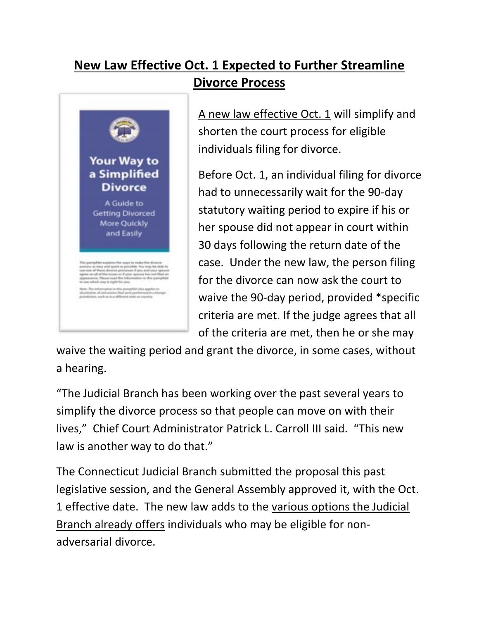## **New Law Effective Oct. 1 Expected to Further Streamline Divorce Process**



[A new law effective Oct. 1](https://www.cga.ct.gov/2018/ACT/pa/pdf/2018PA-00014-R00HB-05211-PA.pdf) will simplify and shorten the court process for eligible individuals filing for divorce.

Before Oct. 1, an individual filing for divorce had to unnecessarily wait for the 90-day statutory waiting period to expire if his or her spouse did not appear in court within 30 days following the return date of the case. Under the new law, the person filing for the divorce can now ask the court to waive the 90-day period, provided \*specific criteria are met. If the judge agrees that all of the criteria are met, then he or she may

waive the waiting period and grant the divorce, in some cases, without a hearing.

"The Judicial Branch has been working over the past several years to simplify the divorce process so that people can move on with their lives," Chief Court Administrator Patrick L. Carroll III said. "This new law is another way to do that."

The Connecticut Judicial Branch submitted the proposal this past legislative session, and the General Assembly approved it, with the Oct. 1 effective date. The new law adds to the [various options the Judicial](https://www.jud.ct.gov/JudWizard/Divorce/)  [Branch already offers](https://www.jud.ct.gov/JudWizard/Divorce/) individuals who may be eligible for nonadversarial divorce.